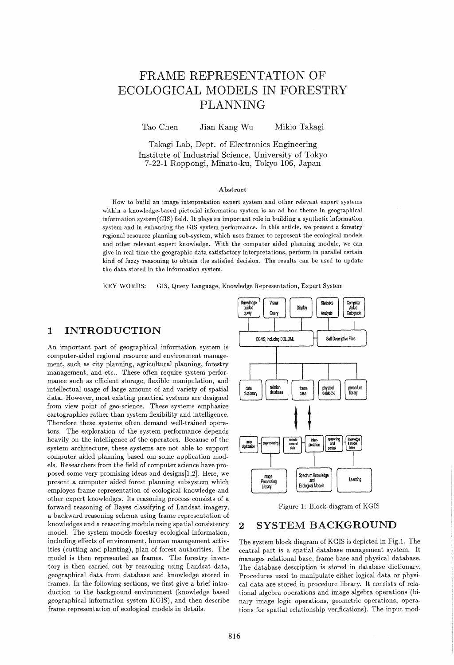# FRAME REPRESENTATION OF ECOLOGICAL MODELS IN FORESTRY PLANNING

Tao Chen Jian Kang Wu Mikio Takagi

Takagi Lab, Dept. of Electronics Engineering Institute of Industrial Science, University of Tokyo 7-22-1 Roppongi, Minato-ku, Tokyo 106, Japan

#### Abstract

How to build an image interpretation expert system and other relevant expert systems within a knowledge-based pictorial information system is an ad hoc theme in geographical information system(GIS) field. It plays an important role in building a synthetic information system and in enhancing the GIS system performance. In this article, we present a forestry regional resource planning sub-system, which uses frames to represent the ecological models and other relevant expert knowledge. With the computer aided planning module, we can give in real time the geographic data satisfactory interpretations, perform in parallel certain kind of fuzzy reasoning to obtain the satisfied decision. The results can be used to update the data stored in the information system.

KEYWORDS: GIS, Query Language, Knowledge Representation, Expert System

### 1 INTRODUCTION

An important part of geographical information system is computer-aided regional resource and environment management, such as city planning, agricultural planning, forestry management, and etc.. These often require system performance such as efficient storage, flexible manipulation, and intellectual usage of large amount of and variety of spatial data. However, most existing practical systems are designed from view point of geo-science. These systems emphasize cartographics rather than system flexibility and intelligence. Therefore these systems often demand well-trained operators. The exploration of the system performance depends heavily on the intelligence of the operators. Because of the system architecture, these systems are not able to support computer aided planning based om some application models. Researchers from the field of computer science have proposed some very promising ideas and designs[1,2]. Here, we present a computer aided forest planning subsystem which employes frame representation of ecological knowledge and other expert knowledges. Its reasoning process consists of a forward reasoning of Bayes classifying of Landsat imagery, a backward reasoning schema using frame representation of knowledges and a reasoning module using spatial consistency model. The system models forestry ecological information, including effects of environment, human management activities (cutting and planting), plan of forest authorities. The model is then represented as frames. The forestry inventory is then carried out by reasoning using Landsat data, geographical data from database and knowledge stored in frames. In the following sections, we first give a brief introduction to the background environment (knowledge based geographical information system KGIS), and then describe frame representation of ecological models in details.



Figure 1: Block-diagram of KGIS

### 2 SYSTEM BACKGROUND

The system block diagram of KGIS is depicted in Fig.I. The central part is a spatial database management system. It inanages relational base, frame base and physical database. The database description is stored in database dictionary. Procedures used to manipulate either logical data or physical data are stored in procedure library. It consists of relational algebra operations and image algebra operations (binary image logic operations, geometric operations, operations for spatial relationship verifications). The input mod-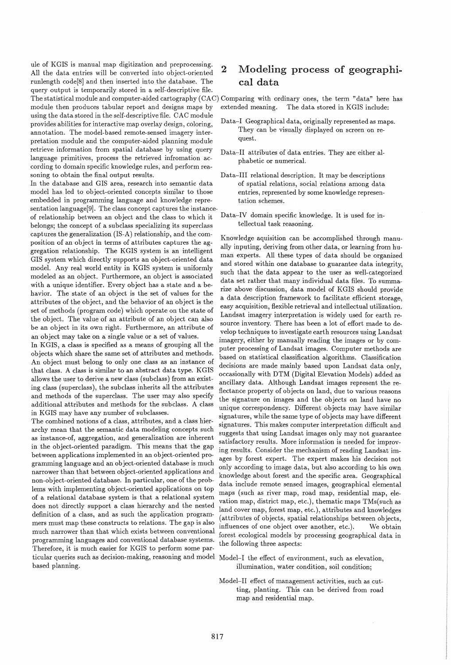ule of KGIS is manual map digitization and preprocessing. All the data entries will be converted into object-oriented runlength code<sup>[8]</sup> and then inserted into the database. The query output is temporarily stored in a self-descriptive file. The statistical module and computer-aided cartography (CAC) Comparing with ordinary ones, the term "data" here has module then produces tabular report and designs maps by using the data stored in the self-descriptive file. CAC module provides abilities for interactive map overlay design, coloring, annotation. The model-based remote-sensed imagery interpretation module and the computer-aided planning module retrieve information from spatial database by using query language primitives, process the retrieved infromation according to domain specific knowledge rules, and perform reasoning to obtain the final output results.

In the database and GIS area, research into semantic data model has led to object-oriented concepts similar to those embedded in programming language and knowledge representation language[9]. The class concept captures the instanceof relationship between an object and the class to which it belongs; the concept of a subclass specializing its superclass captures the generalization (IS-A) relationship, and the composition of an object in terms of attributes captures the aggregation relationship. The KGIS system is an intelligent GIS system which directly supports an object-oriented data model. Any real world entity in KGIS system is uniformly modeled as an object. Furthermore, an object is associated with a unique identifier. Every object has a state and a behavior. The state of an object is the set of values for the attributes of the object, and the behavior of an object is the set of methods (program code) which operate on the state of the object. The value of an attribute of an object can also be an object in its own right. Furthermore, an attribute of an object may take on a single value or a set of values.

In KGIS, a class is specified as a means of grouping all the objects which share the same set of attributes and methods. An object must belong to only one class as an instance of that class. A class is similar to an abstract data type. KGIS allows the user to derive a new class (subclass) from an existing class (superclass), the subclass inherits all the attributes and methods of the superclass. The user may also specify additional attributes and methods for the subclass. A class in KGIS may have any number of subclasses.

The combined notions of a class, attributes, and a class hierarchy mean that the semantic data modeling concepts such as instance-of, aggregation, and generalization are inherent in the object-oriented paradigm. This means that the gap between applications implemented in an object-oriented programming language and an object-oriented database is much narrower than that between object-oriented applications and non-object-oriented database. In particular, one of the problems with implementing object-oriented applications on top of a relational database system is that a relational system does not directly support a class hierarchy and the nested definition of a class, and as such the application programmers must map these constructs to relations. The gap is also much narrower than that which exists between conventional programming languages and conventional database systems. Therefore, it is much easier for KGIS to perform some particular queries such as decision-making, reasoning and model Model-I the effect of environment, such as elevation, based planning.

#### $\overline{2}$ Modeling process of geographical data

extended meaning. The data stored in KGIS include:

- Data-I Geographical data, originally represented as maps. They can be visually displayed on screen on request.
- Data-II attributes of data entries. They are either alphabetic or numerical.
- Data-III relational description. It may be descriptions of spatial relations, social relations among data entries, represented by some knowledge representation schemes.
- Data-IV domain specific knowledge. It is used for intellectual task reasoning.

Knowledge aquisition can be accomplished through manually inputing, deriving from other data, or learning from human experts. All these types of data should be organized and stored within one database to guarantee data integrity, such that the data appear to the user as well-categorized data set rather that many individual data files. To summarize above discussion, data model of KGIS should provide a data description framework to facilitate efficient storage, easy acquisition, flexible retrieval and intellectual utilization. Landsat imagery interpretation is widely used for earth resource inventory. There has been a lot of effort made to develop techniques to investigate earth resources using Landsat imagery, either by manually reading the images or by computer processing of Landsat images. Computer methods are based on statistical classification algorithms. Classification decisions are made mainly based upon Landsat data only. occasionally with DTM (Digital Elevation Models) added as ancillary data. Although Landsat images represent the reflectance property of objects on land, due to various reasons the signature on images and the objects on land have no unique correspondency. Different objects may have similar signatures, while the same type of objects may have different signatures. This makes computer interpretation difficult and suggests that using Landsat images only may not guarantee satisfactory results. More information is needed for improving results. Consider the mechanism of reading Landsat images by forest expert. The expert makes his decision not only according to image data, but also according to his own knowledge about forest and the specific area. Geographical data include remote sensed images, geographical elemental maps (such as river map, road map, residential map, elevation map, district map, etc.), thematic maps TMs(such as land cover map, forest map, etc.), attributes and knowledges (attributes of objects, spatial relationships between objects, influences of one object over another, etc.). We obtain forest ecological models by processing geographical data in the following three aspects:

illumination, water condition, soil condition;

Model-II effect of management activities, such as cutting, planting. This can be derived from road map and residential map.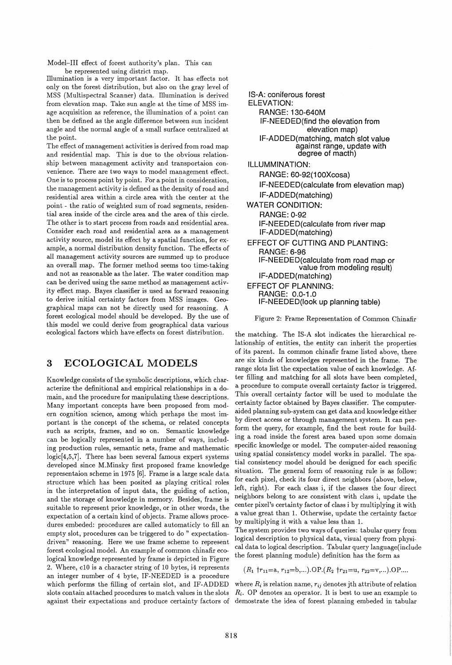Model-III effect of forest authority's plan. This can be represented using district map.

Illumination is a very important factor. It has effects not only on the forest distribution, but also on the gray level of MSS (Multispectral Scanner) data. Illumination is derived from elevation map. Take sun angle at the time of MSS image acquisition as reference, the illumination of a point can then be defined as the angle difference between sun incident angle and the normal angle of a small surface centralized at the point.

The effect of management activities is derived from road map and residential map. This is due to the obvious relationship between management activity and transportaion convenience. There are two ways to model management effect. One is to process point by point. For a point in consideration, the management activity is defined as the density of road and residential area within a circle area with the center at the point - the ratio of weighted sum of road segments, residential area inside of the circle area and the area of this circle. The other is to start process from roads and residential area. Consider each road and residential area as a management activity source, model its effect by a spatial function, for example, a normal distribution density function. The effects of all management activity sources are summed up to produce an overall map. The former method seems too time-taking and not as reasonable as the later. The water condition map can be derived using the same method as management activityeffect map. Bayes classifier is used as forward reasoning to derive initial certainty factors from MSS images. Geographical maps can not be directly used for reasoning. A forest ecological model should be developed. By the use of this model we could derive from geographical data various ecological factors which have effects on forest distribution.

### 3 ECOLOGICAL MODELS

Knowledge consists of the symbolic descriptions, which characterize the definitional and empirical relationships in a domain, and the procedure for manipulating these descriptions. Many important concepts have been proposed from modern cognition science, among which perhaps the most important is the concept of the schema, or related concepts such as scripts, frames, and so on. Semantic knowledge can be logically represented in a number of ways, including production rules, semantic nets, frame and mathematic logic[4,5,7]. There has been several famous expert systems developed since M.Minsky first proposed frame knowledge representaion scheme in 1975 [6]. Frame is a large scale data structure which has been posited as playing critical roles in the interpretation of input data, the guiding of action, and the storage of knowledge in memory. Besides, frame is suitable to represent prior knowledge, or in other words, the expectation of a certain kind of objects. Frame allows procedures embeded: procedures are called automaticly to fill an empty slot, procedures can be triggered to do " expectationdriven" reasoning. Here we use frame scheme to represent forest ecological model. An example of common chinafir ecological knowledge represented by frame is depicted in Figure 2. Where, cIO is a character string of 10 bytes, i4 represents an integer number of 4 byte, IF-NEEDED is a procedure which performs the filling of certain slot, and IF-ADDED slots contain attached procedures to match values in the slots against their expectations and produce certainty factors of

IS-A: coniferous forest ELEVATION: RANGE: 130-640M IF-NEEDED(find the elevation from elevation map) IF-ADDED(matching, match slot value against range, update with degree of macth) ILLUMMINATION: RANGE: 60-92(100Xcosa) IF-NEEDED(calculate from elevation map) IF-ADDED(matching) WATER CONDITION: RANGE: 0-92 IF-NEEDED(calculate from river map IF-ADDED(matching) EFFECT OF CUTTING AND PLANTING: RANGE: 6-96 IF-NEEDED(calcuiate from road map or value from modeling result) IF-ADDED(matching) EFFECT OF PLANNING: RANGE: 0.0-1.0 IF-NEEDED(look up planning table)

Figure 2: Frame Representation of Common Chinafir

the matching. The IS-A slot indicates the hierarchical relationship of entities, the entity can inherit the properties of its parent. In common chinafir frame listed above, there are six kinds of know ledges represented in the frame. The range slots list the expectation value of each knowledge. After filling and matching for all slots have been completed, a procedure to compute overall certainty factor is triggered. This overall certainty factor will be used to modulate the certainty factor obtained by Bayes classifier. The computeraided planning sub-system can get data and knowledge either by direct access or through management system. It can perform the query, for example, find the best route for building a road inside the forest area based upon some domain specific knowledge or model. The computer-aided reasoning using spatial consistency model works in parallel. The spatial consistency model should be designed for each specific situation. The general form of reasoning rule is as follow: for each pixel, check its four direct neighbors (above, below, left, right). For each class i, if the classes the four direct neighbors belong to are consistent with class i, update the center pixel's certainty factor of class i by multiplying it with a value great than 1. Otherwise, update the certainty factor by multiplying it with a value less than 1.

The system provides two ways of queries: tabular query from logical description to physical data, visual query from physical data to logical description. Tabular query language(include the forest planning module) definition has the form as

 $(R_1 \nmid r_{11}=a, r_{12}=b,...).OP.(R_2 \nmid r_{21}=u, r_{22}=v,...).OP...$ 

where  $R_i$  is relation name,  $r_{ij}$  denotes jth attribute of relation *Ri .* OP denotes an operator. It is best to use an example to demostrate the idea of forest planning embeded in tabular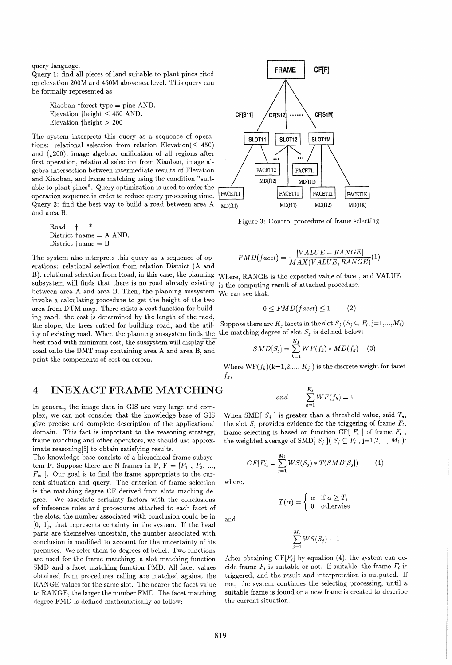query language.

Query 1: find all pieces of land suitable to plant pines cited on elevation 200M and 450M above sea level. This query can be formally represented as

Xiaoban tforest-type = pine AND. Elevation theight  $\leq 450$  AND. Elevation  $\hat{\theta}$  theight  $> 200$ 

The system interprets this query as a sequence of operations: relational selection from relation Elevation( $\leq 450$ ) and  $(200)$ , image algebrac unification of all regions after first operation, relational selection from Xiaoban, image algebra intersection between intermediate results of Elevation and Xiaoban, and frame matching using the condition "suitable to plant pines". Query optimization is used to order the operation sequence in order to reduce query processing time. Query 2: find the best way to build a road between area A and area B.

Road  $\dagger$ District tname = A AND. District  $\{\text{name} = B\}$ 

B), relational selection from Road, in this case, the planning Where, RANGE is the expected value of facet, and VALUE subsystem will finds that there is no road already existing is the computing result of attached procedure. The system also interprets this query as a sequence of operations: relational selection from relation District (A and between area A and area B. Then, the planning sussystem invoke a calculating procedure to get the height of the two area from DTM map. There exists a cost function for building raod. the cost is determined by the length of the raod, the slope, the trees cutted for building road, and the util- Suppose there are  $K_j$  facets in the slot  $S_j$  ( $S_j \subseteq F_i$ ,  $j=1,...,M_i$ ), ity of existing road. When the planning sussystem finds the the matching degree of slot  $S_j$  is defined below: best road with minimum cost, the sussystem will display the road onto the DMT map containing area A and area B, and print the compenents of cost on screen.

### 4 **INEXACT FRAME MATCHING**

In general, the image data in GIS are very large and complex, we can not consider that the knowledge base of GIS give precise and complete description of the applicational domain. This fact is important to the reasoning strategy, frame matching and other operators, we should use approximate reasoning[5] to obtain satisfying results.

The knowledge base consists of a hierachical frame subsystem F. Suppose there are N frames in F,  $F = [F_1, F_2, ...,$  $F_N$ ]. Our goal is to find the frame appropriate to the current situation and query. The criterion of frame selection is the matching degree CF derived from slots maching degree. We associate certainty factors with the conclusions of inference rules and procedures attached to each facet of the slots, the number associated with conclusion could be in [0, 1], that represents certainty in the system. If the head parts are themselves uncertain, the number associated with conclusion is modified to account for the uncertainty of its premises. We refer them to degrees of belief. Two functions are used for the frame matching: a slot matching function SMD and a facet matching function FMD. All facet values obtained from procedures calling are matched against the RANGE values for the same slot. The nearer the facet value to RANGE, the larger the number FMD. The facet matching degree FMD is defined mathematically as follow:



Figure 3: Control procedure of frame selecting

$$
FMD(facet) = \frac{|VALUE - RANGE|}{MAX(VALUE, RANGE)}(1)
$$

We can see that:

$$
0 \le FMD(facet) \le 1 \qquad (2)
$$

$$
SMD[S_j] = \sum_{k=1}^{K_j} WF(f_k) * MD(f_k) \quad (3)
$$

Where  $WF(f_k)(k=1,2,..., K_j)$  is the discrete weight for facet *jk,* 

and 
$$
\sum_{k=1}^{K_j} WF(f_k) = 1
$$

When SMD[ $S_i$ ] is greater than a threshold value, said  $T_s$ , the slot  $S_i$  provides evidence for the triggering of frame  $F_i$ , frame selecting is based on function CF[  $F_i$  ] of frame  $F_i$ , the weighted average of SMD[ $S_j$ ]( $S_j \subseteq F_i$ , j=1,2,...,  $M_i$ ):

$$
CF[F_i] = \sum_{j=1}^{M_i} WS(S_j) * T(SMD[S_j])
$$
 (4)

where,

and

 $T(\alpha) = \begin{cases} \alpha & \text{if } \alpha \geq T_s \\ 0 & \text{otherwise} \end{cases}$ otherwise

$$
\sum_{j=1}^{M_i} WS(S_j) = 1
$$

After obtaining  $CF[F_i]$  by equation (4), the system can decide frame  $F_i$  is suitable or not. If suitable, the frame  $F_i$  is triggered, and the result and interpretation is outputed. If not, the system continues the selecting processing, until a suitable frame is found or a new frame is created to describe the current situation.